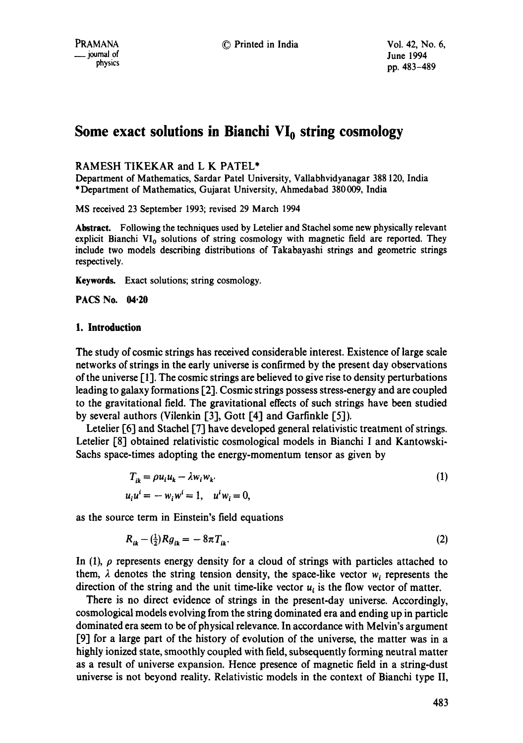# Some exact solutions in Bianchi VI<sub>0</sub> string cosmology

# RAMESH TIKEKAR and L K PATEL\*

Department of Mathematics, Sardar Patel University, Vallabhvidyanagar 388 120, India \*Department of Mathematics, Gujarat University, Ahmedabad 380009, India

MS *received* 23 September 1993; revised 29 March 1994

**Abstract.** Following the techniques used by Letelier and Stachei some new physically relevant explicit Bianchi  $VI_0$  solutions of string cosmology with magnetic field are reported. They include two models describing distributions of Takabayashi strings and geometric strings respectively,

**Keywords.** Exact solutions; string cosmology.

**PACS No. 04.20** 

## **1. Introduction**

The study of cosmic strings has received considerable interest, Existence of large scale networks of strings in the early universe is confirmed by the present day observations of the universe [1]. The cosmic strings are believed to give rise to density perturbations leading to galaxy formations [2]. Cosmic strings possess stress-energy and are coupled to the gravitational field, The gravitational effects of such strings have been studied by several authors (Vilenkin [3], Gott [4] and Garfinkle [5]).

Letelier [6] and Stachel [7] have developed general relativistic treatment of strings. Letelier [8] obtained relativistic cosmological models in Bianchi I and Kantowski-Sachs space-times adopting the energy-momentum tensor as given by

$$
T_{ik} = \rho u_i u_k - \lambda w_i w_k
$$
  
\n
$$
u_i u^i = -w_i w^i = 1, \quad u^i w_i = 0,
$$
\n(1)

as the source term in Einstein's field equations

$$
R_{ik} - \left(\frac{1}{2}\right) R g_{ik} = -8\pi T_{ik}.\tag{2}
$$

In  $(1)$ ,  $\rho$  represents energy density for a cloud of strings with particles attached to them,  $\lambda$  denotes the string tension density, the space-like vector  $w_i$  represents the direction of the string and the unit time-like vector  $u_i$  is the flow vector of matter.

There is no direct evidence of strings in the present-day universe. Accordingly, cosmological models evolving from the string dominated era and ending up in particle dominated era seem to be of physical relevance. In accordance with Melvin's argument [9] for a large part of the history of evolution of the universe, the matter was in a highly ionized state, smoothly coupled with field, subsequently forming neutral matter as a result of universe expansion. Hence presence of magnetic field in a string-dust universe is not beyond reality. Relativistic models in the context of Bianchi type II,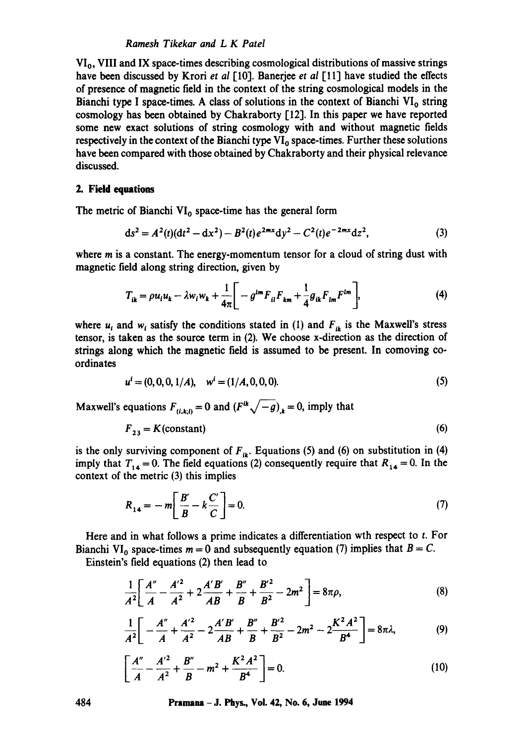## *Ramesh Tikekar and L K Patel*

VI<sub>0</sub>, VIII and IX space-times describing cosmological distributions of massive strings have been discussed by Krori *et al* [10]. Banerjee *et al* [11] have studied the effects of presence of magnetic field in the context of the string cosmological models in the Bianchi type I space-times. A class of solutions in the context of Bianchi  $VI_0$  string cosmology has been obtained by Chakraborty [12]. In this paper we have reported some new exact solutions of string cosmology with and without magnetic fields respectively in the context of the Bianchi type  $VI_0$  space-times. Further these solutions have been compared with those obtained by Chakraborty and their physical relevance discussed.

#### **2. Field equations**

The metric of Bianchi  $VI_0$  space-time has the general form

$$
ds^{2} = A^{2}(t)(dt^{2} - dx^{2}) - B^{2}(t)e^{2mx}dy^{2} - C^{2}(t)e^{-2mx}dz^{2},
$$
\n(3)

where  $m$  is a constant. The energy-momentum tensor for a cloud of string dust with magnetic field along string direction, given by

$$
T_{ik} = \rho u_i u_k - \lambda w_i w_k + \frac{1}{4\pi} \left[ -g^{im} F_{il} F_{km} + \frac{1}{4} g_{ik} F_{lm} F^{lm} \right],
$$
 (4)

where  $u_i$  and  $w_i$  satisfy the conditions stated in (1) and  $F_{ik}$  is the Maxwell's stress tensor, is taken as the source term in (2). We choose x-direction as the direction of strings along which the magnetic field is assumed to be present. In comoving coordinates

$$
u^{i} = (0, 0, 0, 1/A), \quad w^{i} = (1/A, 0, 0, 0). \tag{5}
$$

Maxwell's equations  $F_{(i,k,l)} = 0$  and  $(F^{ik}\sqrt{-g})_k = 0$ , imply that

$$
F_{23} = K \text{(constant)}\tag{6}
$$

is the only surviving component of  $F_{ik}$ . Equations (5) and (6) on substitution in (4) imply that  $T_{14} = 0$ . The field equations (2) consequently require that  $R_{14} = 0$ . In the context of the metric (3) this implies

$$
R_{14} = -m \left[ \frac{B'}{B} - k \frac{C'}{C} \right] = 0. \tag{7}
$$

Here and in what follows a prime indicates a differentiation wth respect to t. For Bianchi VI<sub>0</sub> space-times  $m = 0$  and subsequently equation (7) implies that  $B = C$ .

Einstein's field equations (2) then lead to

$$
\frac{1}{A^2} \bigg[ \frac{A''}{A} - \frac{A'^2}{A^2} + 2 \frac{A'B'}{AB} + \frac{B''}{B} + \frac{B'^2}{B^2} - 2m^2 \bigg] = 8\pi\rho, \tag{8}
$$

$$
\frac{1}{A^2}\bigg[-\frac{A''}{A}+\frac{A'^2}{A^2}-2\frac{A'B'}{AB}+\frac{B''}{B}+\frac{B'^2}{B^2}-2m^2-2\frac{K^2A^2}{B^4}\bigg]=8\pi\lambda,\hspace{1cm} (9)
$$

$$
\left[\frac{A''}{A} - \frac{A'^2}{A^2} + \frac{B''}{B} - m^2 + \frac{K^2 A^2}{B^4}\right] = 0.
$$
 (10)

**484 Pramana - J. Phys., Vol. 42, No. 6, June 1994**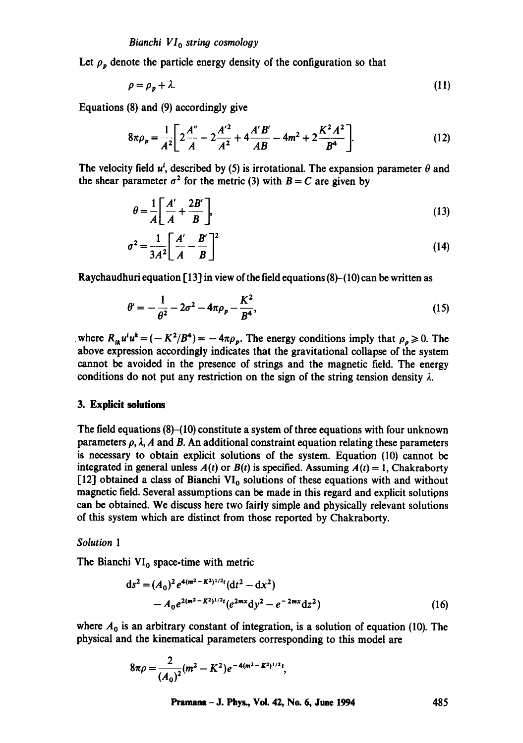Let  $\rho_p$  denote the particle energy density of the configuration so that

$$
\rho = \rho_p + \lambda. \tag{11}
$$

Equations (8) and (9) accordingly give

$$
8\pi\rho_p = \frac{1}{A^2} \bigg[ 2\frac{A''}{A} - 2\frac{A'^2}{A^2} + 4\frac{A'B'}{AB} - 4m^2 + 2\frac{K^2A^2}{B^4} \bigg].
$$
 (12)

The velocity field  $u^i$ , described by (5) is irrotational. The expansion parameter  $\theta$  and the shear parameter  $\sigma^2$  for the metric (3) with  $B = C$  are given by

$$
\theta = \frac{1}{A} \left[ \frac{A'}{A} + \frac{2B'}{B} \right],\tag{13}
$$

$$
\sigma^2 = \frac{1}{3A^2} \left[ \frac{A'}{A} - \frac{B'}{B} \right]^2 \tag{14}
$$

Raychaudhuri equation  $[13]$  in view of the field equations  $(8)$ - $(10)$  can be written as

$$
\theta' = -\frac{1}{\theta^2} - 2\sigma^2 - 4\pi\rho_p - \frac{K^2}{B^4},\tag{15}
$$

where  $R_{ik}u^i u^k = (-K^2/B^4) = -4\pi \rho_p$ . The energy conditions imply that  $\rho_q \ge 0$ . The above expression accordingly indicates that the gravitational collapse of the system cannot be avoided in the presence of strings and the magnetic field. The energy conditions do not put any restriction on the sign of the string tension density  $\lambda$ .

## **3. Explicit solutions**

The field equations (8)-(10) constitute a system of three equations with four unknown parameters  $\rho$ ,  $\lambda$ , A and B. An additional constraint equation relating these parameters is necessary to obtain explicit solutions of the system. Equation (10) cannot be integrated in general unless  $A(t)$  or  $B(t)$  is specified. Assuming  $A(t) = 1$ , Chakraborty [12] obtained a class of Bianchi  $VI_0$  solutions of these equations with and without magnetic field. Several assumptions can be made in this regard and explicit solutions can be obtained. We discuss here two fairly simple and physically relevant solutions of this system which are distinct from those reported by Chakraborty.

#### *Solution 1*

The Bianchi  $VI_0$  space-time with metric

$$
ds^{2} = (A_{0})^{2} e^{4(m^{2} - K^{2})^{1/2}t} (dt^{2} - dx^{2})
$$
  
-  $A_{0} e^{2(m^{2} - K^{2})^{1/2}t} (e^{2mx} dy^{2} - e^{-2mx} dz^{2})$  (16)

where  $A_0$  is an arbitrary constant of integration, is a solution of equation (10). The physical and the kinematical parameters corresponding to this model are

$$
8\pi\rho=\frac{2}{(A_0)^2}(m^2-K^2)e^{-4(m^2-K^2)^{1/2}t},
$$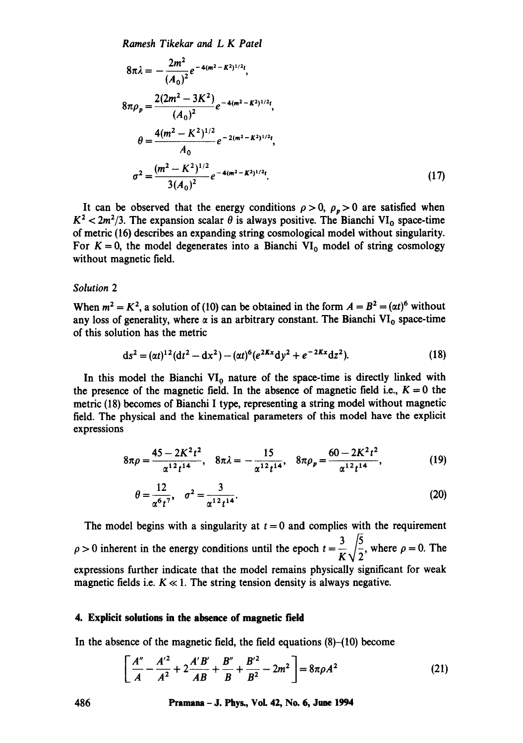*Ramesh Tikekar and L K Patel* 

$$
8\pi\lambda = -\frac{2m^2}{(A_0)^2}e^{-4(m^2 - K^2)^{1/2}t},
$$
  
\n
$$
8\pi\rho_p = \frac{2(2m^2 - 3K^2)}{(A_0)^2}e^{-4(m^2 - K^2)^{1/2}t},
$$
  
\n
$$
\theta = \frac{4(m^2 - K^2)^{1/2}}{A_0}e^{-2(m^2 - K^2)^{1/2}t},
$$
  
\n
$$
\sigma^2 = \frac{(m^2 - K^2)^{1/2}}{3(A_0)^2}e^{-4(m^2 - K^2)^{1/2}t}.
$$
\n(17)

It can be observed that the energy conditions  $\rho > 0$ ,  $\rho_p > 0$  are satisfied when  $K^2 < 2m^2/3$ . The expansion scalar  $\theta$  is always positive. The Bianchi VI<sub>0</sub> space-time of metric (16) describes an expanding string cosmological model without singularity. For  $K = 0$ , the model degenerates into a Bianchi VI<sub>0</sub> model of string cosmology without magnetic field.

## *Solution 2*

When  $m^2 = K^2$ , a solution of (10) can be obtained in the form  $A = B^2 = (\alpha t)^6$  without any loss of generality, where  $\alpha$  is an arbitrary constant. The Bianchi VI<sub>0</sub> space-time of this solution has the metric

$$
ds^{2} = (\alpha t)^{12} (dt^{2} - dx^{2}) - (\alpha t)^{6} (e^{2Kx} dy^{2} + e^{-2Kx} dz^{2}).
$$
\n(18)

In this model the Bianchi  $VI_0$  nature of the space-time is directly linked with the presence of the magnetic field. In the absence of magnetic field i.e.,  $K = 0$  the metric (18) becomes of Bianchi I type, representing a string model without magnetic field. The physical and the kinematical parameters of this model have the explicit expressions

$$
8\pi\rho = \frac{45 - 2K^2t^2}{\alpha^{12}t^{14}}, \quad 8\pi\lambda = -\frac{15}{\alpha^{12}t^{14}}, \quad 8\pi\rho_p = \frac{60 - 2K^2t^2}{\alpha^{12}t^{14}}, \tag{19}
$$

$$
\theta = \frac{12}{\alpha^6 t^7}, \quad \sigma^2 = \frac{3}{\alpha^{12} t^{14}}.
$$
 (20)

The model begins with a singularity at  $t = 0$  and complies with the requirement  $\rho > 0$  inherent in the energy conditions until the epoch  $t = \frac{3}{K}\sqrt{\frac{5}{2}}$ , where  $\rho = 0$ . The expressions further indicate that the model remains physically significant for weak magnetic fields i.e.  $K \ll 1$ . The string tension density is always negative.

## **4. Explicit solutions in the absence of magnetic field**

In the absence of the magnetic field, the field equations (8)-(10) become

$$
\left[\frac{A''}{A} - \frac{A'^2}{A^2} + 2\frac{A'B'}{AB} + \frac{B''}{B} + \frac{B'^2}{B^2} - 2m^2\right] = 8\pi\rho A^2\tag{21}
$$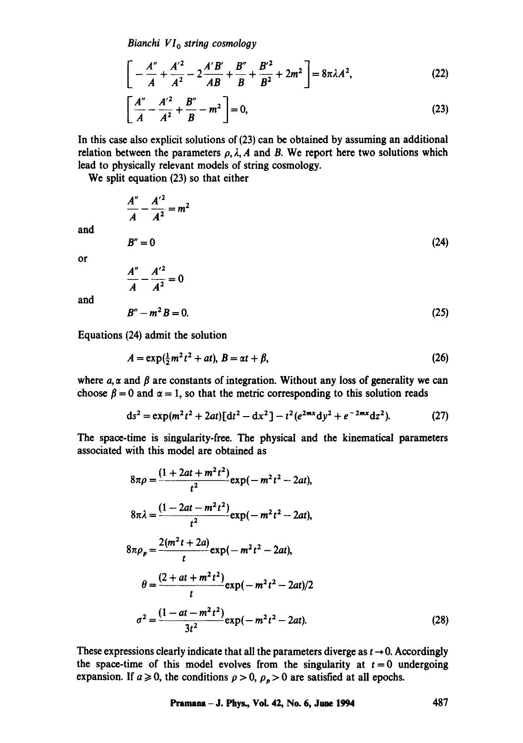*Bianchi VIo string cosmology* 

$$
\left[ -\frac{A''}{A} + \frac{A'^2}{A^2} - 2\frac{A'B'}{AB} + \frac{B''}{B} + \frac{B'^2}{B^2} + 2m^2 \right] = 8\pi\lambda A^2,
$$
 (22)

$$
\left[\frac{A''}{A} - \frac{A'^2}{A^2} + \frac{B''}{B} - m^2\right] = 0,
$$
\n(23)

In this case also explicit solutions of (23) can be obtained by assuming an additional relation between the parameters  $\rho$ ,  $\lambda$ , A and B. We report here two solutions which lead to physically relevant models of string cosmology.

We split equation (23) so that either

$$
\frac{A''}{A} - \frac{A'^2}{A^2} = m^2
$$
  
\n
$$
B'' = 0
$$
  
\n
$$
\frac{A''}{A} - \frac{A'^2}{A^2} = 0
$$
\n(24)

and

or

and

$$
B'' - m^2 B = 0. \tag{25}
$$

Equations (24) admit the solution

$$
A = \exp(\frac{1}{2}m^2t^2 + at), B = \alpha t + \beta,
$$
\n(26)

where  $a, \alpha$  and  $\beta$  are constants of integration. Without any loss of generality we can choose  $\beta = 0$  and  $\alpha = 1$ , so that the metric corresponding to this solution reads

$$
ds^{2} = \exp(m^{2}t^{2} + 2at)[dt^{2} - dx^{2}] - t^{2}(e^{2mx}dy^{2} + e^{-2mx}dz^{2}).
$$
 (27)

The space-time is singularity-free. The physical and the kinematical parameters associated with this model are obtained as

$$
8\pi\rho = \frac{(1+2at+m^2t^2)}{t^2} \exp(-m^2t^2 - 2at),
$$
  
\n
$$
8\pi\lambda = \frac{(1-2at-m^2t^2)}{t^2} \exp(-m^2t^2 - 2at),
$$
  
\n
$$
8\pi\rho_p = \frac{2(m^2t+2a)}{t} \exp(-m^2t^2 - 2at),
$$
  
\n
$$
\theta = \frac{(2+at+m^2t^2)}{t} \exp(-m^2t^2 - 2at)/2
$$
  
\n
$$
\sigma^2 = \frac{(1-at-m^2t^2)}{3t^2} \exp(-m^2t^2 - 2at).
$$
 (28)

These expressions clearly indicate that all the parameters diverge as  $t \rightarrow 0$ . Accordingly the space-time of this model evolves from the singularity at  $t = 0$  undergoing expansion. If  $a \ge 0$ , the conditions  $\rho > 0$ ,  $\rho_p > 0$  are satisfied at all epochs.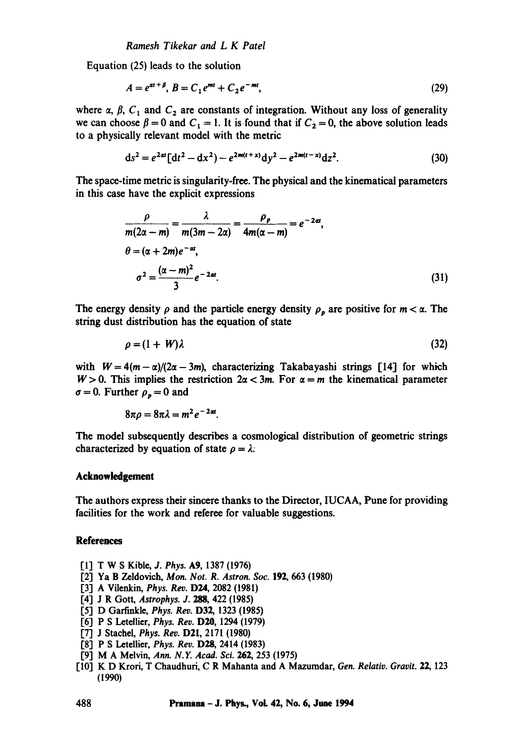Equation (25) leads to the solution

$$
A = e^{\alpha t + \beta}, B = C_1 e^{mt} + C_2 e^{-mt},
$$
\n(29)

where  $\alpha$ ,  $\beta$ ,  $C_1$  and  $C_2$  are constants of integration. Without any loss of generality we can choose  $\beta = 0$  and  $C_1 = 1$ . It is found that if  $C_2 = 0$ , the above solution leads to a physically relevant model with the metric

$$
ds^{2} = e^{2at} [dt^{2} - dx^{2}) - e^{2m(t+x)} dy^{2} - e^{2m(t-x)} dz^{2}.
$$
 (30)

The space-time metric is singularity-free. The physical and the kinematical parameters in this case have the explicit expressions

$$
\frac{\rho}{m(2\alpha - m)} = \frac{\lambda}{m(3m - 2\alpha)} = \frac{\rho_p}{4m(\alpha - m)} = e^{-2\alpha t},
$$
  
\n
$$
\theta = (\alpha + 2m)e^{-\alpha t},
$$
  
\n
$$
\sigma^2 = \frac{(\alpha - m)^2}{3}e^{-2\alpha t}.
$$
\n(31)

The energy density  $\rho$  and the particle energy density  $\rho_p$  are positive for  $m < \alpha$ . The string dust distribution has the equation of state

$$
\rho = (1 + W)\lambda \tag{32}
$$

with  $W = 4(m - \alpha)/(2\alpha - 3m)$ , characterizing Takabayashi strings [14] for which  $W > 0$ . This implies the restriction  $2\alpha < 3m$ . For  $\alpha = m$  the kinematical parameter  $\sigma = 0$ . Further  $\rho_p = 0$  and

$$
8\pi\rho=8\pi\lambda=m^2e^{-2\alpha t}.
$$

The model subsequently describes a cosmological distribution of geometric strings characterized by equation of state  $\rho = \lambda$ .

#### **Acknowledgement**

The authors express their sincere thanks to the Director, IUCAA, Pune for providing facilities for the work and referee for valuable suggestions.

## **References**

- [1] T W S Kible, *J. Phys.* A9, 1387 (1976)
- [2] Ya B Zeldovich, *Men. Not. R. Astron. Soc.* 192, 663 (1980)
- [3] A Vilenkin, *Phys.* Rev. D24, 2082 (1981)
- [4] J R Gott, *Astrophys. J. 288,* 422 (1985)
- [5] D Garfinkle, *Phys. Rev.* D32, 1323 (1985)
- 1"6] P S Letellier, *Phys. Rev.* D20, 1294 (1979)
- [7] J Stachel, *Phys. Rev.* D21, 2171 (1980)
- [8] P S Letellier, *Phys. Rev.* D28, 2414 (1983)
- [9] M A Melvin, *Ann. N.Y. Acad. Sci.* 262, 253 (1975)
- [10] K D Krori, T Chaudhuri, C R Mahanta and A Mazumdar, *Gen. Relativ. Gravit.* 22, 123 (1990)